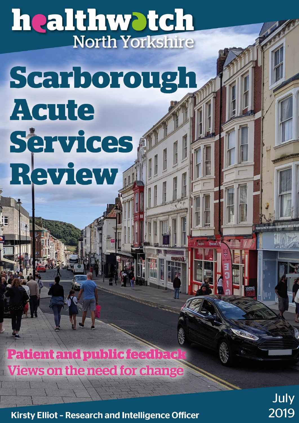# healthwotch North Yorkshire

# Scarborough **Acute** Services **Review d**

**Patient and public feedbac Views on the need for change** 

Kirsty Elliot - Research and Intelligence Officer

July 2019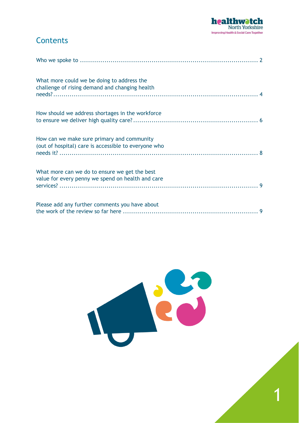

1

## **Contents**

| What more could we be doing to address the<br>challenge of rising demand and changing health       |  |
|----------------------------------------------------------------------------------------------------|--|
| How should we address shortages in the workforce                                                   |  |
| How can we make sure primary and community<br>(out of hospital) care is accessible to everyone who |  |
| What more can we do to ensure we get the best<br>value for every penny we spend on health and care |  |
| Please add any further comments you have about                                                     |  |

<span id="page-1-0"></span>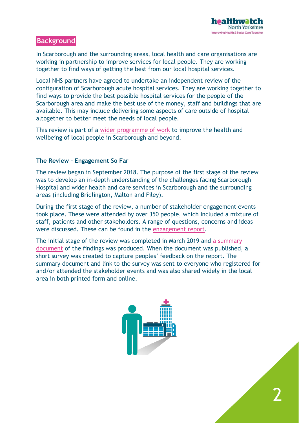

2

#### **Background**

In Scarborough and the surrounding areas, local health and care organisations are working in partnership to improve services for local people. They are working together to find ways of getting the best from our local hospital services.

Local NHS partners have agreed to undertake an independent review of the configuration of Scarborough acute hospital services. They are working together to find ways to provide the best possible hospital services for the people of the Scarborough area and make the best use of the money, staff and buildings that are available. This may include delivering some aspects of care outside of hospital altogether to better meet the needs of local people.

This review is part of a [wider programme of work](http://humbercoastandvale.org.uk/scarboroughreview/) to improve the health and wellbeing of local people in Scarborough and beyond.

#### **The Review – Engagement So Far**

The review began in September 2018. The purpose of the first stage of the review was to develop an in-depth understanding of the challenges facing Scarborough Hospital and wider health and care services in Scarborough and the surrounding areas (including Bridlington, Malton and Filey).

During the first stage of the review, a number of stakeholder engagement events took place. These were attended by over 350 people, which included a mixture of staff, patients and other stakeholders. A range of questions, concerns and ideas were discussed. These can be found in the [engagement report.](http://humbercoastandvale.org.uk/wp-content/uploads/2018/11/Scarborough-Acute-Services-Review_Engagement-Events_Feedback_final.pdf)

The initial stage of the review was completed in March 2019 and a summary [document](http://humbercoastandvale.org.uk/wp-content/uploads/2019/03/The-need-for-change_Scarborough-Review_final.pdf) of the findings was produced. When the document was published, a short survey was created to capture peoples' feedback on the report. The summary document and link to the survey was sent to everyone who registered for and/or attended the stakeholder events and was also shared widely in the local area in both printed form and online.

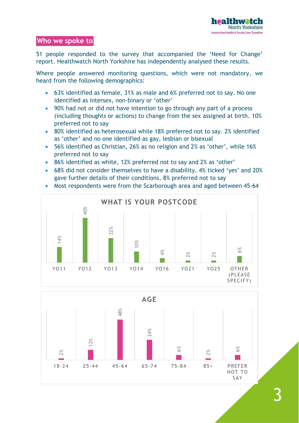#### **Who we spoke to**

51 people responded to the survey that accompanied the 'Need for Change' report. Healthwatch North Yorkshire has independently analysed these results.

Where people answered monitoring questions, which were not mandatory, we heard from the following demographics:

- 63% identified as female, 31% as male and 6% preferred not to say. No one identified as intersex, non-binary or 'other'
- 90% had not or did not have intention to go through any part of a process (including thoughts or actions) to change from the sex assigned at birth. 10% preferred not to say
- 80% identified as heterosexual while 18% preferred not to say. 2% identified as 'other' and no one identified as gay, lesbian or bisexual
- 56% identified as Christian, 26% as no religion and 2% as 'other', while 16% preferred not to say
- 86% identified as white, 12% preferred not to say and 2% as 'other'
- 68% did not consider themselves to have a disability, 4% ticked 'yes' and 20% gave further details of their conditions, 8% preferred not to say
- Most respondents were from the Scarborough area and aged between 45-64



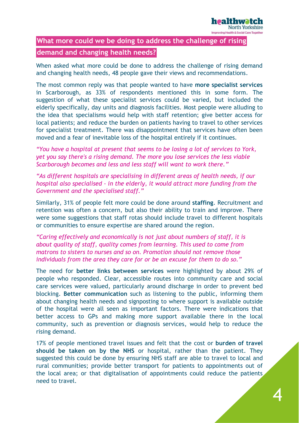

### <span id="page-4-0"></span>**What more could we be doing to address the challenge of rising demand and changing health needs?**

When asked what more could be done to address the challenge of rising demand and changing health needs, 48 people gave their views and recommendations.

The most common reply was that people wanted to have **more specialist services** in Scarborough, as 33% of respondents mentioned this in some form. The suggestion of what these specialist services could be varied, but included the elderly specifically, day units and diagnosis facilities. Most people were alluding to the idea that specialisms would help with staff retention; give better access for local patients; and reduce the burden on patients having to travel to other services for specialist treatment. There was disappointment that services have often been moved and a fear of inevitable loss of the hospital entirely if it continues.

*"You have a hospital at present that seems to be losing a lot of services to York, yet you say there's a rising demand. The more you lose services the less viable Scarborough becomes and less and less staff will want to work there."*

*"As different hospitals are specialising in different areas of health needs, if our hospital also specialised - in the elderly, it would attract more funding from the Government and the specialised staff."*

Similarly, 31% of people felt more could be done around **staffing**. Recruitment and retention was often a concern, but also their ability to train and improve. There were some suggestions that staff rotas should include travel to different hospitals or communities to ensure expertise are shared around the region.

*"Caring effectively and economically is not just about numbers of staff, it is about quality of staff, quality comes from learning. This used to come from matrons to sisters to nurses and so on. Promotion should not remove those individuals from the area they care for or be an excuse for them to do so."*

The need for **better links between services** were highlighted by about 29% of people who responded. Clear, accessible routes into community care and social care services were valued, particularly around discharge in order to prevent bed blocking. **Better communication** such as listening to the public, informing them about changing health needs and signposting to where support is available outside of the hospital were all seen as important factors. There were indications that better access to GPs and making more support available there in the local community, such as prevention or diagnosis services, would help to reduce the rising demand.

17% of people mentioned travel issues and felt that the cost or **burden of travel should be taken on by the NHS** or hospital, rather than the patient. They suggested this could be done by ensuring NHS staff are able to travel to local and rural communities; provide better transport for patients to appointments out of the local area; or that digitalisation of appointments could reduce the patients need to travel.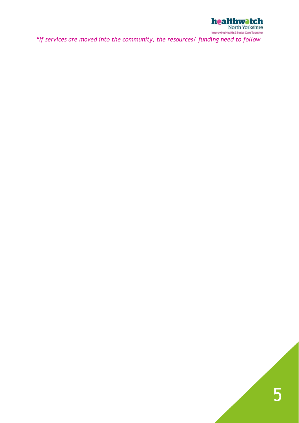

*"If services are moved into the community, the resources/ funding need to follow*

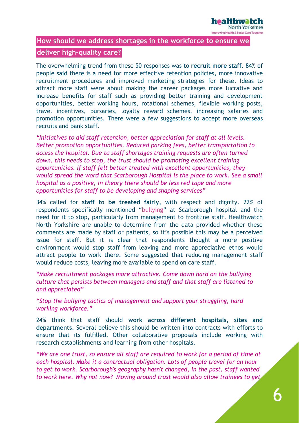

#### <span id="page-6-0"></span>**How should we address shortages in the workforce to ensure we**

#### **deliver high-quality care?**

The overwhelming trend from these 50 responses was to **recruit more staff**. 84% of people said there is a need for more effective retention policies, more innovative recruitment procedures and improved marketing strategies for these. Ideas to attract more staff were about making the career packages more lucrative and increase benefits for staff such as providing better training and development opportunities, better working hours, rotational schemes, flexible working posts, travel incentives, bursaries, loyalty reward schemes, increasing salaries and promotion opportunities. There were a few suggestions to accept more overseas recruits and bank staff.

*"Initiatives to aid staff retention, better appreciation for staff at all levels. Better promotion opportunities. Reduced parking fees, better transportation to access the hospital. Due to staff shortages training requests are often turned down, this needs to stop, the trust should be promoting excellent training opportunities. If staff felt better treated with excellent opportunities, they would spread the word that Scarborough Hospital is the place to work. See a small hospital as a positive, in theory there should be less red tape and more opportunities for staff to be developing and shaping services"*

34% called for **staff to be treated fairly,** with respect and dignity. 22% of respondents specifically mentioned "bullying" at Scarborough hospital and the need for it to stop, particularly from management to frontline staff. Healthwatch North Yorkshire are unable to determine from the data provided whether these comments are made by staff or patients, so it's possible this may be a perceived issue for staff. But it is clear that respondents thought a more positive environment would stop staff from leaving and more appreciative ethos would attract people to work there. Some suggested that reducing management staff would reduce costs, leaving more available to spend on care staff.

*"Make recruitment packages more attractive. Come down hard on the bullying culture that persists between managers and staff and that staff are listened to and appreciated"*

*"Stop the bullying tactics of management and support your struggling, hard working workforce."*

24% think that staff should **work across different hospitals, sites and departments**. Several believe this should be written into contracts with efforts to ensure that its fulfilled. Other collaborative proposals include working with research establishments and learning from other hospitals.

*"We are one trust, so ensure all staff are required to work for a period of time at each hospital. Make it a contractual obligation. Lots of people travel for an hour to get to work. Scarborough's geography hasn't changed, in the past, staff wanted to work here. Why not now? Moving around trust would also allow trainees to get*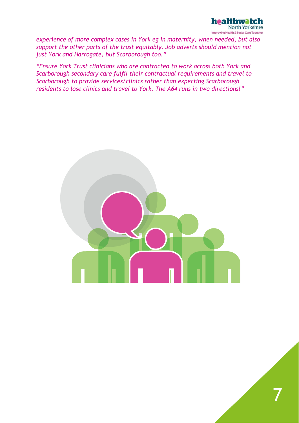

*experience of more complex cases in York eg in maternity, when needed, but also support the other parts of the trust equitably. Job adverts should mention not just York and Harrogate, but Scarborough too."*

*"Ensure York Trust clinicians who are contracted to work across both York and Scarborough secondary care fulfil their contractual requirements and travel to Scarborough to provide services/clinics rather than expecting Scarborough residents to lose clinics and travel to York. The A64 runs in two directions!"*

<span id="page-7-0"></span>

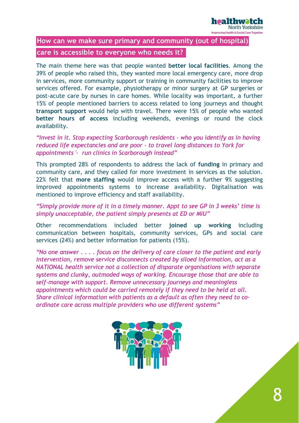

#### **How can we make sure primary and community (out of hospital)**

#### **care is accessible to everyone who needs it?**

The main theme here was that people wanted **better local facilities**. Among the 39% of people who raised this, they wanted more local emergency care, more drop in services, more community support or training in community facilities to improve services offered. For example, physiotherapy or minor surgery at GP surgeries or post-acute care by nurses in care homes. While locality was important, a further 15% of people mentioned barriers to access related to long journeys and thought **transport support** would help with travel. There were 15% of people who wanted **better hours of access** including weekends, evenings or round the clock availability.

*"Invest in it. Stop expecting Scarborough residents - who you identify as in having reduced life expectancies and are poor - to travel long distances to York for appointments '- run clinics in Scarborough instead"*

This prompted 28% of respondents to address the lack of **funding** in primary and community care, and they called for more investment in services as the solution. 22% felt that **more staffing** would improve access with a further 9% suggesting improved appointments systems to increase availability. Digitalisation was mentioned to improve efficiency and staff availability.

#### *"Simply provide more of it in a timely manner. Appt to see GP in 3 weeks' time is simply unacceptable, the patient simply presents at ED or MIU"*

Other recommendations included better **joined up working** including communication between hospitals, community services, GPs and social care services (24%) and better information for patients (15%).

*"No one answer . . . . focus on the delivery of care closer to the patient and early intervention, remove service disconnects created by siloed information, act as a NATIONAL health service not a collection of disparate organisations with separate systems and clunky, outmoded ways of working. Encourage those that are able to self-manage with support. Remove unnecessary journeys and meaningless appointments which could be carried remotely if they need to be held at all. Share clinical information with patients as a default as often they need to coordinate care across multiple providers who use different systems"*

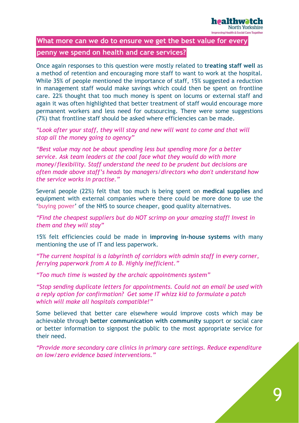

#### <span id="page-9-0"></span>**What more can we do to ensure we get the best value for every**

#### **penny we spend on health and care services?**

Once again responses to this question were mostly related to **treating staff well** as a method of retention and encouraging more staff to want to work at the hospital. While 35% of people mentioned the importance of staff, 15% suggested a reduction in management staff would make savings which could then be spent on frontline care. 22% thought that too much money is spent on locums or external staff and again it was often highlighted that better treatment of staff would encourage more permanent workers and less need for outsourcing. There were some suggestions (7%) that frontline staff should be asked where efficiencies can be made.

*"Look after your staff, they will stay and new will want to come and that will stop all the money going to agency"*

*"Best value may not be about spending less but spending more for a better service. Ask team leaders at the coal face what they would do with more money/flexibility. Staff understand the need to be prudent but decisions are often made above staff's heads by managers/directors who don't understand how the service works in practise."*

Several people (22%) felt that too much is being spent on **medical supplies** and equipment with external companies where there could be more done to use the 'buying power' of the NHS to source cheaper, good quality alternatives.

*"Find the cheapest suppliers but do NOT scrimp on your amazing staff! Invest in them and they will stay"*

15% felt efficiencies could be made in **improving in-house systems** with many mentioning the use of IT and less paperwork.

*"The current hospital is a labyrinth of corridors with admin staff in every corner, ferrying paperwork from A to B. Highly inefficient."*

*"Too much time is wasted by the archaic appointments system"*

*"Stop sending duplicate letters for appointments. Could not an email be used with a reply option for confirmation? Get some IT whizz kid to formulate a patch which will make all hospitals compatible!"*

Some believed that better care elsewhere would improve costs which may be achievable through **better communication with community** support or social care or better information to signpost the public to the most appropriate service for their need.

<span id="page-9-1"></span>*"Provide more secondary care clinics in primary care settings. Reduce expenditure on low/zero evidence based interventions."*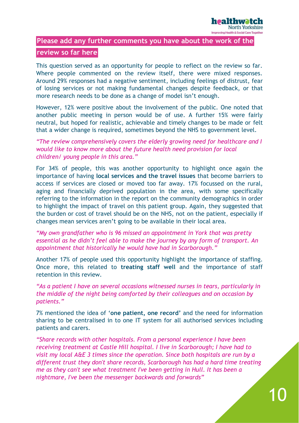

#### **Please add any further comments you have about the work of the**

#### **review so far here**

This question served as an opportunity for people to reflect on the review so far. Where people commented on the review itself, there were mixed responses. Around 29% responses had a negative sentiment, including feelings of distrust, fear of losing services or not making fundamental changes despite feedback, or that more research needs to be done as a change of model isn't enough.

However, 12% were positive about the involvement of the public. One noted that another public meeting in person would be of use. A further 15% were fairly neutral, but hoped for realistic, achievable and timely changes to be made or felt that a wider change is required, sometimes beyond the NHS to government level.

*"The review comprehensively covers the elderly growing need for healthcare and I would like to know more about the future health need provision for local children/ young people in this area."*

For 34% of people, this was another opportunity to highlight once again the importance of having **local services and the travel issues** that become barriers to access if services are closed or moved too far away. 17% focussed on the rural, aging and financially deprived population in the area, with some specifically referring to the information in the report on the community demographics in order to highlight the impact of travel on this patient group. Again, they suggested that the burden or cost of travel should be on the NHS, not on the patient, especially if changes mean services aren't going to be available in their local area.

*"My own grandfather who is 96 missed an appointment in York that was pretty essential as he didn't feel able to make the journey by any form of transport. An appointment that historically he would have had in Scarborough."*

Another 17% of people used this opportunity highlight the importance of staffing. Once more, this related to **treating staff well** and the importance of staff retention in this review.

*"As a patient I have on several occasions witnessed nurses in tears, particularly in the middle of the night being comforted by their colleagues and on occasion by patients."*

7% mentioned the idea of '**one patient, one record'** and the need for information sharing to be centralised in to one IT system for all authorised services including patients and carers.

*"Share records with other hospitals. From a personal experience I have been receiving treatment at Castle Hill hospital. I live in Scarborough; I have had to visit my local A&E 3 times since the operation. Since both hospitals are run by a different trust they don't share records, Scarborough has had a hard time treating me as they can't see what treatment I've been getting in Hull. It has been a nightmare, I've been the messenger backwards and forwards"*